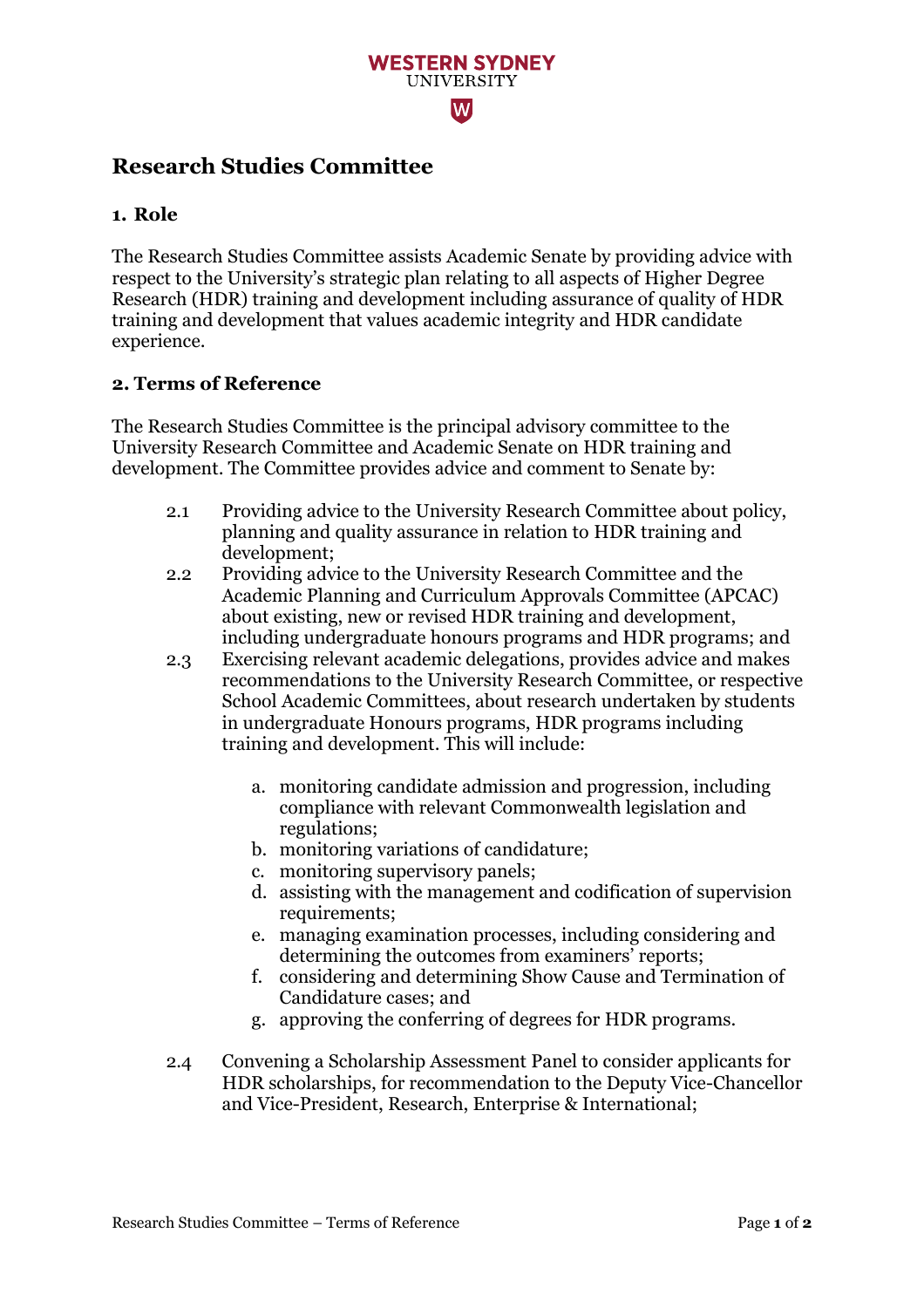## **WESTERN SYDNEY UNIVERSITY** lW

# **Research Studies Committee**

#### **1. Role**

The Research Studies Committee assists Academic Senate by providing advice with respect to the University's strategic plan relating to all aspects of Higher Degree Research (HDR) training and development including assurance of quality of HDR training and development that values academic integrity and HDR candidate experience.

#### **2. Terms of Reference**

The Research Studies Committee is the principal advisory committee to the University Research Committee and Academic Senate on HDR training and development. The Committee provides advice and comment to Senate by:

- 2.1 Providing advice to the University Research Committee about policy, planning and quality assurance in relation to HDR training and development;
- 2.2 Providing advice to the University Research Committee and the Academic Planning and Curriculum Approvals Committee (APCAC) about existing, new or revised HDR training and development, including undergraduate honours programs and HDR programs; and
- 2.3 Exercising relevant academic delegations, provides advice and makes recommendations to the University Research Committee, or respective School Academic Committees, about research undertaken by students in undergraduate Honours programs, HDR programs including training and development. This will include:
	- a. monitoring candidate admission and progression, including compliance with relevant Commonwealth legislation and regulations;
	- b. monitoring variations of candidature;
	- c. monitoring supervisory panels;
	- d. assisting with the management and codification of supervision requirements;
	- e. managing examination processes, including considering and determining the outcomes from examiners' reports;
	- f. considering and determining Show Cause and Termination of Candidature cases; and
	- g. approving the conferring of degrees for HDR programs.
- 2.4 Convening a Scholarship Assessment Panel to consider applicants for HDR scholarships, for recommendation to the Deputy Vice-Chancellor and Vice-President, Research, Enterprise & International;